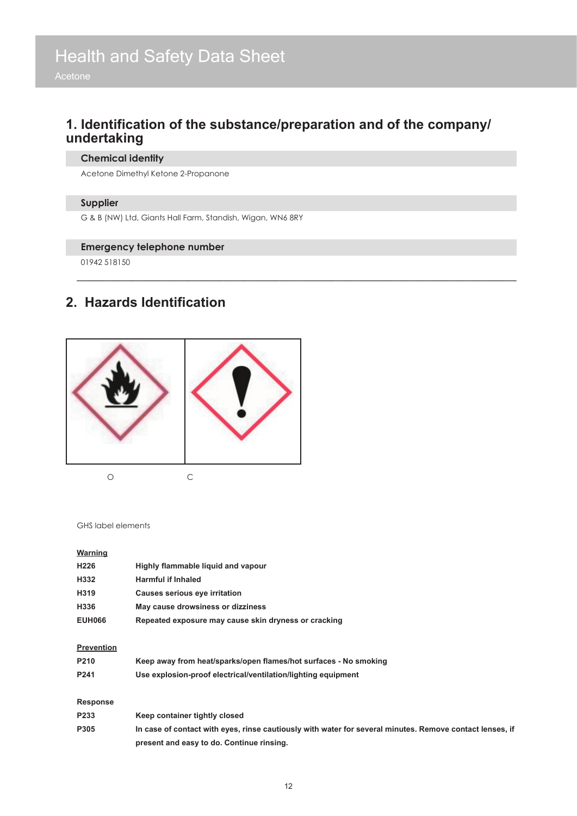### **1. Identification of the substance/preparation and of the company/ undertaking**

**\_\_\_\_\_\_\_\_\_\_\_\_\_\_\_\_\_\_\_\_\_\_\_\_\_\_\_\_\_\_\_\_\_\_\_\_\_\_\_\_\_\_\_\_\_\_\_\_\_\_\_\_\_\_\_\_\_\_\_\_\_\_\_\_\_\_\_\_\_\_\_\_\_\_\_\_\_\_\_\_\_\_\_\_\_\_\_\_\_\_\_\_\_\_\_\_\_\_\_\_\_\_**

#### **Chemical identity**

Acetone Dimethyl Ketone 2-Propanone

#### **Supplier**

G & B (NW) Ltd, Giants Hall Farm, Standish, Wigan, WN6 8RY

#### **Emergency telephone number**

01942 518150

#### **2. Hazards Identification**



GHS label elements

#### **Warning**

| H <sub>226</sub>  | Highly flammable liquid and vapour                                                                       |
|-------------------|----------------------------------------------------------------------------------------------------------|
| H332              | <b>Harmful if Inhaled</b>                                                                                |
| H319              | Causes serious eye irritation                                                                            |
| H336              | May cause drowsiness or dizziness                                                                        |
| <b>EUH066</b>     | Repeated exposure may cause skin dryness or cracking                                                     |
| <b>Prevention</b> |                                                                                                          |
| P210              | Keep away from heat/sparks/open flames/hot surfaces - No smoking                                         |
| P241              | Use explosion-proof electrical/ventilation/lighting equipment                                            |
| Response          |                                                                                                          |
| P233              | Keep container tightly closed                                                                            |
| P305              | In case of contact with eyes, rinse cautiously with water for several minutes. Remove contact lenses, if |
|                   | present and easy to do. Continue rinsing.                                                                |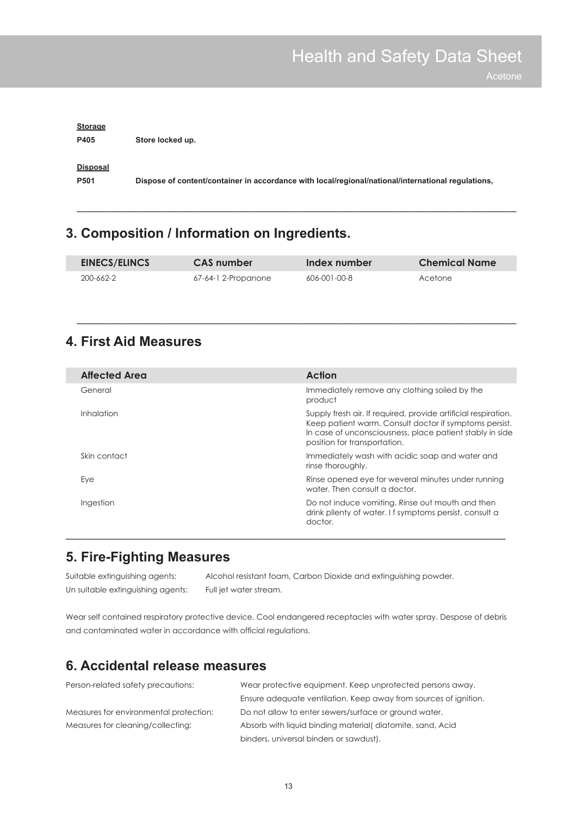| <b>Storage</b><br>P405 | Store locked up.                                                                                   |
|------------------------|----------------------------------------------------------------------------------------------------|
| Disposal<br>P501       | Dispose of content/container in accordance with local/regional/national/international regulations, |

### **3. Composition / Information on Ingredients.**

| <b>EINECS/ELINCS</b> | <b>CAS</b> number   | Index number | <b>Chemical Name</b> |
|----------------------|---------------------|--------------|----------------------|
| 200-662-2            | 67-64-1 2-Propanone | 606-001-00-8 | Acetone              |

**\_\_\_\_\_\_\_\_\_\_\_\_\_\_\_\_\_\_\_\_\_\_\_\_\_\_\_\_\_\_\_\_\_\_\_\_\_\_\_\_\_\_\_\_\_\_\_\_\_\_\_\_\_\_\_\_\_\_\_\_\_\_\_\_\_\_\_\_\_\_\_\_\_\_\_\_\_\_\_\_\_\_\_\_\_\_\_\_\_\_\_\_\_\_\_\_\_\_\_\_\_\_**

**\_\_\_\_\_\_\_\_\_\_\_\_\_\_\_\_\_\_\_\_\_\_\_\_\_\_\_\_\_\_\_\_\_\_\_\_\_\_\_\_\_\_\_\_\_\_\_\_\_\_\_\_\_\_\_\_\_\_\_\_\_\_\_\_\_\_\_\_\_\_\_\_\_\_\_\_\_\_\_\_\_\_\_\_\_\_\_\_\_\_\_\_\_\_\_\_\_\_\_\_\_\_**

### **4. First Aid Measures**

| <b>Affected Area</b> | Action                                                                                                                                                                                                               |
|----------------------|----------------------------------------------------------------------------------------------------------------------------------------------------------------------------------------------------------------------|
| General              | Immediately remove any clothing soiled by the<br>product                                                                                                                                                             |
| <i>Inhalation</i>    | Supply fresh air. If required, provide artificial respiration.<br>Keep patient warm. Consult doctor if symptoms persist.<br>In case of unconsciousness, place patient stably in side<br>position for transportation. |
| Skin contact         | Immediately wash with acidic soap and water and<br>rinse thoroughly.                                                                                                                                                 |
| Eye                  | Rinse opened eye for weveral minutes under running<br>water. Then consult a doctor.                                                                                                                                  |
| Ingestion            | Do not induce vomiting. Rinse out mouth and then<br>drink pllenty of water. If symptoms persist, consult a<br>doctor.                                                                                                |

### **5. Fire-Fighting Measures**

Suitable extinguishing agents: Alcohol resistant foam, Carbon Dioxide and extinguishing powder. Un suitable extinguishing agents: Full jet water stream.

Wear self contained respiratory protective device. Cool endangered receptacles with water spray. Despose of debris and contaminated water in accordance with official regulations.

**\_\_\_\_\_\_\_\_\_\_\_\_\_\_\_\_\_\_\_\_\_\_\_\_\_\_\_\_\_\_\_\_\_\_\_\_\_\_\_\_\_\_\_\_\_\_\_\_\_\_\_\_\_\_\_\_\_\_\_\_\_\_\_\_\_\_\_\_\_\_\_\_\_\_\_\_\_\_\_\_\_\_\_\_\_\_\_\_\_\_\_\_\_\_\_\_\_\_\_\_\_\_**

### **6. Accidental release measures**

| Person-related safety precautions:     | Wear protective equipment. Keep unprotected persons away.        |
|----------------------------------------|------------------------------------------------------------------|
|                                        | Ensure adequate ventilation. Keep away from sources of ignition. |
| Measures for environmental protection: | Do not allow to enter sewers/surface or ground water.            |
| Measures for cleaning/collecting:      | Absorb with liquid binding material diatomite, sand, Acid        |
|                                        | binders, universal binders or sawdust).                          |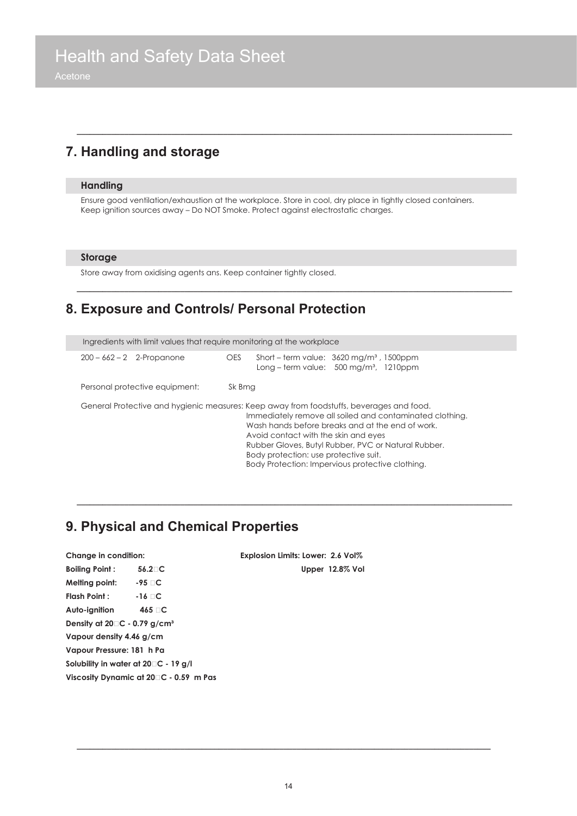### **7. Handling and storage**

#### **Handling**

Ensure good ventilation/exhaustion at the workplace. Store in cool, dry place in tightly closed containers. Keep ignition sources away – Do NOT Smoke. Protect against electrostatic charges.

**\_\_\_\_\_\_\_\_\_\_\_\_\_\_\_\_\_\_\_\_\_\_\_\_\_\_\_\_\_\_\_\_\_\_\_\_\_\_\_\_\_\_\_\_\_\_\_\_\_\_\_\_\_\_\_\_\_\_\_\_\_\_\_\_\_\_\_\_\_\_\_\_\_\_\_\_\_\_\_\_\_\_\_\_\_\_\_\_\_\_\_\_\_\_\_\_\_\_\_\_\_**

#### **Storage**

Store away from oxidising agents ans. Keep container tightly closed.

### **8. Exposure and Controls/ Personal Protection**

| Ingredients with limit values that require monitoring at the workplace |        |                                                                                                                                                                                                                                                                                                                                                                                                      |  |
|------------------------------------------------------------------------|--------|------------------------------------------------------------------------------------------------------------------------------------------------------------------------------------------------------------------------------------------------------------------------------------------------------------------------------------------------------------------------------------------------------|--|
| $200 - 662 - 2$ 2-Propanone                                            | OES    | Short – term value: $3620 \text{ mg/m}^3$ , 1500ppm<br>Long – term value: $500 \text{ mg/m}^3$ , 1210ppm                                                                                                                                                                                                                                                                                             |  |
| Personal protective equipment:                                         | Sk Bmg |                                                                                                                                                                                                                                                                                                                                                                                                      |  |
|                                                                        |        | General Protective and hygienic measures: Keep away from foodstuffs, beverages and food.<br>Immediately remove all soiled and contaminated clothing.<br>Wash hands before breaks and at the end of work.<br>Avoid contact with the skin and eves<br>Rubber Gloves, Butyl Rubber, PVC or Natural Rubber.<br>Body protection: use protective suit.<br>Body Protection: Impervious protective clothing. |  |

**\_\_\_\_\_\_\_\_\_\_\_\_\_\_\_\_\_\_\_\_\_\_\_\_\_\_\_\_\_\_\_\_\_\_\_\_\_\_\_\_\_\_\_\_\_\_\_\_\_\_\_\_\_\_\_\_\_\_\_\_\_\_\_\_\_\_\_\_\_\_\_\_\_\_\_\_\_\_\_\_\_\_\_\_\_\_\_\_\_\_\_\_\_\_\_\_\_\_\_\_\_**

**\_\_\_\_\_\_\_\_\_\_\_\_\_\_\_\_\_\_\_\_\_\_\_\_\_\_\_\_\_\_\_\_\_\_\_\_\_\_\_\_\_\_\_\_\_\_\_\_\_\_\_\_\_\_\_\_\_\_\_\_\_\_\_\_\_\_\_\_\_\_\_\_\_\_\_\_\_\_\_\_\_\_\_\_\_\_\_\_\_\_\_\_\_\_\_\_\_\_\_\_\_**

#### **9. Physical and Chemical Properties**

| Change in condition:                                |                                                |  |
|-----------------------------------------------------|------------------------------------------------|--|
| <b>Boiling Point:</b>                               | $56.2 \square$ C                               |  |
| Melting point:                                      | $-95$ C                                        |  |
| <b>Flash Point:</b>                                 | $-16$ $\Box$ C                                 |  |
| Auto-ignition                                       | 465 ⊟C                                         |  |
| Density at $20\square$ C - 0.79 g/cm <sup>3</sup>   |                                                |  |
| Vapour density 4.46 g/cm                            |                                                |  |
| Vapour Pressure: 181 h Pa                           |                                                |  |
|                                                     | Solubility in water at $20 \square C - 19$ g/l |  |
| Viscosity Dynamic at 20 <sup>1</sup> C - 0.59 m Pas |                                                |  |

**Change in condition: Explosion Limits: Lower: 2.6 Vol% Upper 12.8% Vol** 

**\_\_\_\_\_\_\_\_\_\_\_\_\_\_\_\_\_\_\_\_\_\_\_\_\_\_\_\_\_\_\_\_\_\_\_\_\_\_\_\_\_\_\_\_\_\_\_\_\_\_\_\_\_\_\_\_\_\_\_\_\_\_\_\_\_\_\_\_\_\_\_\_\_\_\_\_\_\_\_\_\_\_\_\_\_\_\_\_\_\_\_\_\_\_\_\_**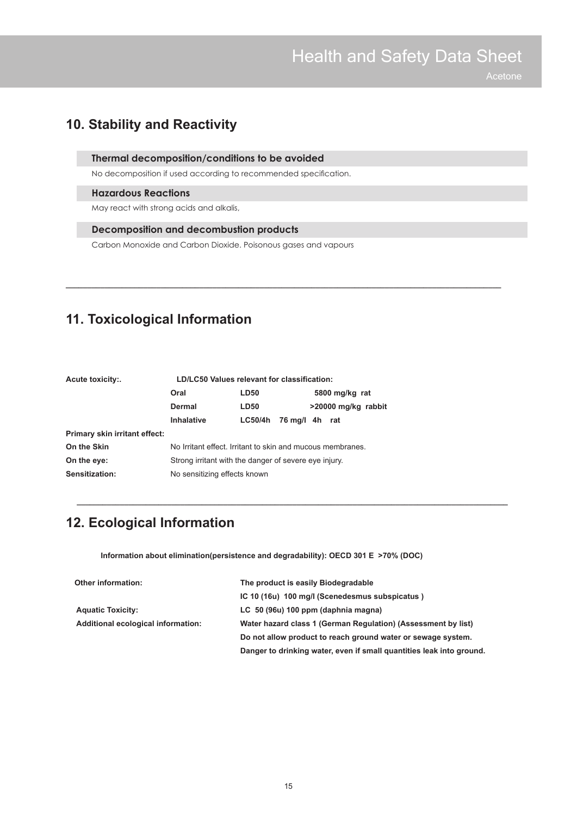### **10. Stability and Reactivity**

#### **Thermal decomposition/conditions to be avoided**

No decomposition if used according to recommended specification.

#### **Hazardous Reactions**

May react with strong acids and alkalis,

#### **Decomposition and decombustion products**

Carbon Monoxide and Carbon Dioxide. Poisonous gases and vapours

**\_\_\_\_\_\_\_\_\_\_\_\_\_\_\_\_\_\_\_\_\_\_\_\_\_\_\_\_\_\_\_\_\_\_\_\_\_\_\_\_\_\_\_\_\_\_\_\_\_\_\_\_\_\_\_\_\_\_\_\_\_\_\_\_\_\_\_\_\_\_\_\_\_\_\_\_\_\_\_\_\_\_\_\_\_\_\_\_\_\_\_\_\_\_\_\_\_\_\_\_\_**

### **11. Toxicological Information**

| Oral<br><b>LD50</b><br>5800 mg/kg rat                                     |  |  |
|---------------------------------------------------------------------------|--|--|
| >20000 mg/kg rabbit<br>Dermal<br><b>LD50</b>                              |  |  |
| <b>Inhalative</b><br>76 mg/l 4h rat<br><b>LC50/4h</b>                     |  |  |
| Primary skin irritant effect:                                             |  |  |
| On the Skin<br>No Irritant effect. Irritant to skin and mucous membranes. |  |  |
| On the eye:<br>Strong irritant with the danger of severe eye injury.      |  |  |
| Sensitization:<br>No sensitizing effects known                            |  |  |

### **12. Ecological Information**

 **Information about elimination(persistence and degradability): OECD 301 E >70% (DOC)**

| <b>Other information:</b>          | The product is easily Biodegradable                                  |
|------------------------------------|----------------------------------------------------------------------|
|                                    | IC 10 (16u) 100 mg/l (Scenedesmus subspicatus)                       |
| <b>Aquatic Toxicity:</b>           | LC 50 (96u) 100 ppm (daphnia magna)                                  |
| Additional ecological information: | Water hazard class 1 (German Regulation) (Assessment by list)        |
|                                    | Do not allow product to reach ground water or sewage system.         |
|                                    | Danger to drinking water, even if small quantities leak into ground. |

**\_\_\_\_\_\_\_\_\_\_\_\_\_\_\_\_\_\_\_\_\_\_\_\_\_\_\_\_\_\_\_\_\_\_\_\_\_\_\_\_\_\_\_\_\_\_\_\_\_\_\_\_\_\_\_\_\_\_\_\_\_\_\_\_\_\_\_\_\_\_\_\_\_\_\_\_\_\_\_\_\_\_\_\_\_\_\_\_\_\_\_\_\_\_\_\_\_\_\_\_**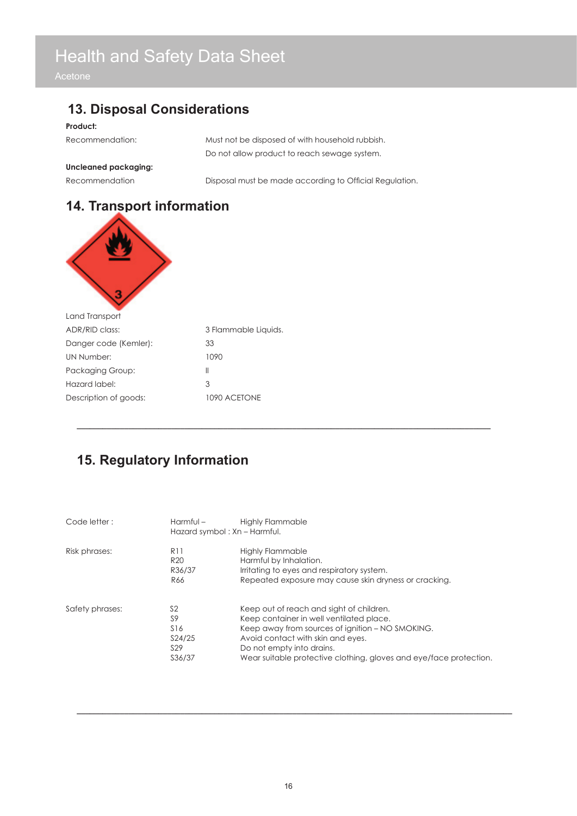### **13. Disposal Considerations**

#### **Product:**

| Recommendation: | Must not be disposed of with household rubbish. |
|-----------------|-------------------------------------------------|
|                 | Do not allow product to reach sewage system.    |

#### **Uncleaned packaging:**

Recommendation Disposal must be made according to Official Regulation.

### **14. Transport information**



| Land Transport        |                      |
|-----------------------|----------------------|
| ADR/RID class:        | 3 Flammable Liquids. |
| Danger code (Kemler): | 33                   |
| UN Number:            | 1090                 |
| Packaging Group:      | Ш                    |
| Hazard label:         | 3                    |
| Description of goods: | 1090 ACFTONE         |
|                       |                      |

### **15. Regulatory Information**

| Code letter:    | Harmful –                                                                      | <b>Highly Flammable</b><br>Hazard symbol: Xn - Harmful.                                                                                                                                                                                                                          |
|-----------------|--------------------------------------------------------------------------------|----------------------------------------------------------------------------------------------------------------------------------------------------------------------------------------------------------------------------------------------------------------------------------|
| Risk phrases:   | R <sub>11</sub><br>R <sub>20</sub><br>R36/37<br>R66                            | Highly Flammable<br>Harmful by Inhalation.<br>Irritating to eyes and respiratory system.<br>Repeated exposure may cause skin dryness or cracking.                                                                                                                                |
| Safety phrases: | S <sub>2</sub><br>S9<br>S <sub>16</sub><br>S24/25<br>S <sub>29</sub><br>S36/37 | Keep out of reach and sight of children.<br>Keep container in well ventilated place.<br>Keep away from sources of ignition - NO SMOKING.<br>Avoid contact with skin and eyes.<br>Do not empty into drains.<br>Wear suitable protective clothing, gloves and eye/face protection. |

**\_\_\_\_\_\_\_\_\_\_\_\_\_\_\_\_\_\_\_\_\_\_\_\_\_\_\_\_\_\_\_\_\_\_\_\_\_\_\_\_\_\_\_\_\_\_\_\_\_\_\_\_\_\_\_\_\_\_\_\_\_\_\_\_\_\_\_\_\_\_\_\_\_\_\_\_\_\_\_\_\_\_\_\_\_\_\_\_\_\_\_\_\_\_\_\_** 

**\_\_\_\_\_\_\_\_\_\_\_\_\_\_\_\_\_\_\_\_\_\_\_\_\_\_\_\_\_\_\_\_\_\_\_\_\_\_\_\_\_\_\_\_\_\_\_\_\_\_\_\_\_\_\_\_\_\_\_\_\_\_\_\_\_\_\_\_\_\_\_\_\_\_\_\_\_\_\_\_\_\_\_\_\_\_\_\_\_\_\_\_\_\_\_\_\_\_\_\_\_**